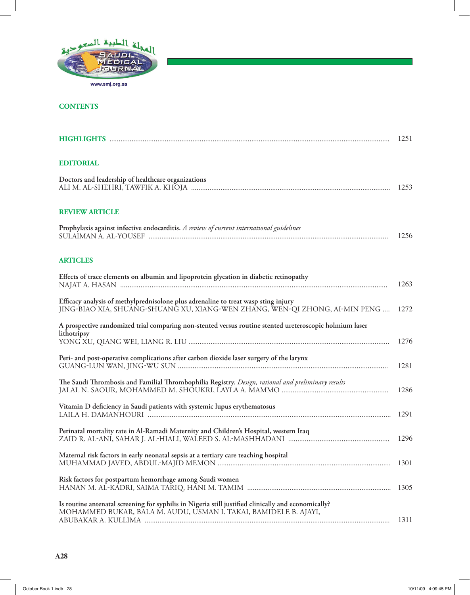

## **CONTENTS**

|                                                                                                                                                                         | 1251 |
|-------------------------------------------------------------------------------------------------------------------------------------------------------------------------|------|
| <b>EDITORIAL</b>                                                                                                                                                        |      |
| Doctors and leadership of healthcare organizations                                                                                                                      | 1253 |
| <b>REVIEW ARTICLE</b>                                                                                                                                                   |      |
| Prophylaxis against infective endocarditis. A review of current international guidelines                                                                                | 1256 |
| <b>ARTICLES</b>                                                                                                                                                         |      |
| Effects of trace elements on albumin and lipoprotein glycation in diabetic retinopathy                                                                                  | 1263 |
| Efficacy analysis of methylprednisolone plus adrenaline to treat wasp sting injury<br>JING-BIAO XIA, SHUANG-SHUANG XU, XIANG-WEN ZHANG, WEN-QI ZHONG, AI-MIN PENG       | 1272 |
| A prospective randomized trial comparing non-stented versus routine stented ureteroscopic holmium laser<br>lithotripsy                                                  | 1276 |
| Peri- and post-operative complications after carbon dioxide laser surgery of the larynx                                                                                 | 1281 |
| The Saudi Thrombosis and Familial Thrombophilia Registry. Design, rational and preliminary results                                                                      | 1286 |
| Vitamin D deficiency in Saudi patients with systemic lupus erythematosus                                                                                                | 1291 |
| Perinatal mortality rate in Al-Ramadi Maternity and Children's Hospital, western Iraq                                                                                   | 1296 |
| Maternal risk factors in early neonatal sepsis at a tertiary care teaching hospital                                                                                     | 1301 |
| Risk factors for postpartum hemorrhage among Saudi women                                                                                                                | 1305 |
| Is routine antenatal screening for syphilis in Nigeria still justified clinically and economically?<br>MOHAMMED BUKAR, BALA M. AUDU, USMAN I. TAKAI, BAMIDELE B. AJAYI, | 1311 |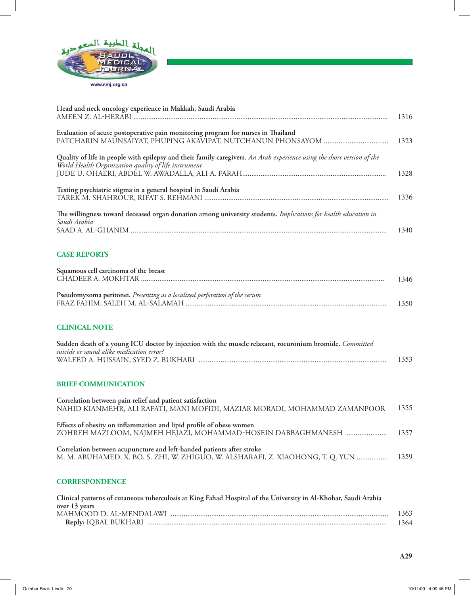

| Head and neck oncology experience in Makkah, Saudi Arabia                                                                                                                      | 1316 |
|--------------------------------------------------------------------------------------------------------------------------------------------------------------------------------|------|
| Evaluation of acute postoperative pain monitoring program for nurses in Thailand                                                                                               | 1323 |
| Quality of life in people with epilepsy and their family caregivers. An Arab experience using the short version of the<br>World Health Organization quality of life instrument | 1328 |
| Testing psychiatric stigma in a general hospital in Saudi Arabia                                                                                                               | 1336 |
| The willingness toward deceased organ donation among university students. Implications for health education in<br>Saudi Arabia                                                 | 1340 |
| <b>CASE REPORTS</b>                                                                                                                                                            |      |
| Squamous cell carcinoma of the breast                                                                                                                                          | 1346 |
| Pseudomyxoma peritonei. Presenting as a localized perforation of the cecum                                                                                                     | 1350 |
| <b>CLINICAL NOTE</b>                                                                                                                                                           |      |
| Sudden death of a young ICU doctor by injection with the muscle relaxant, rocuronium bromide. Committed<br>suicide or sound alike medication error?                            | 1353 |
| <b>BRIEF COMMUNICATION</b>                                                                                                                                                     |      |
| Correlation between pain relief and patient satisfaction<br>NAHID KIANMEHR, ALI RAFATI, MANI MOFIDI, MAZIAR MORADI, MOHAMMAD ZAMANPOOR                                         | 1355 |
| Effects of obesity on inflammation and lipid profile of obese women<br>ZOHREH MAZLOOM, NAJMEH HEJAZI, MOHAMMAD-HOSEIN DABBAGHMANESH                                            | 1357 |
| Correlation between acupuncture and left-handed patients after stroke<br>M. M. ABUHAMED, X. BO, S. ZHI, W. ZHIGUO, W. ALSHARAFI, Z. XIAOHONG, T. Q. YUN                        | 1359 |
| <b>CORRESPONDENCE</b>                                                                                                                                                          |      |

| Clinical patterns of cutaneous tuberculosis at King Fahad Hospital of the University in Al-Khobar, Saudi Arabia |        |
|-----------------------------------------------------------------------------------------------------------------|--------|
| over 13 years                                                                                                   |        |
|                                                                                                                 | 1363   |
|                                                                                                                 | - 1364 |